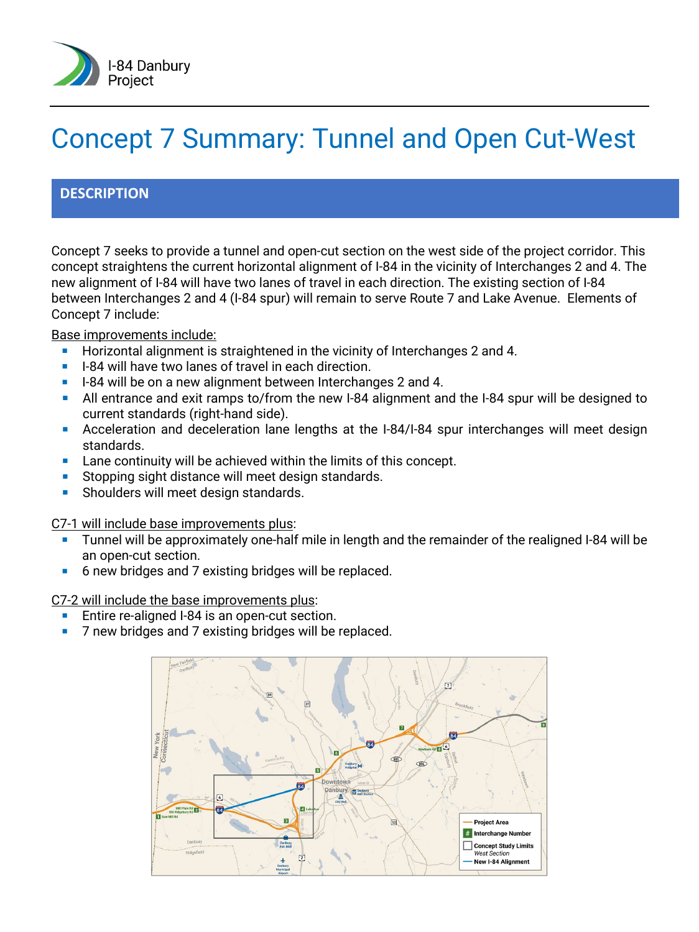

# Concept 7 Summary: Tunnel and Open Cut-West

## **DESCRIPTION**

Concept 7 seeks to provide a tunnel and open-cut section on the west side of the project corridor. This concept straightens the current horizontal alignment of I-84 in the vicinity of Interchanges 2 and 4. The new alignment of I-84 will have two lanes of travel in each direction. The existing section of I-84 between Interchanges 2 and 4 (I-84 spur) will remain to serve Route 7 and Lake Avenue. Elements of Concept 7 include:

Base improvements include:

- **Horizontal alignment is straightened in the vicinity of Interchanges 2 and 4.**
- **I-84 will have two lanes of travel in each direction.**
- I-84 will be on a new alignment between Interchanges 2 and 4.
- All entrance and exit ramps to/from the new I-84 alignment and the I-84 spur will be designed to current standards (right-hand side).
- Acceleration and deceleration lane lengths at the I-84/I-84 spur interchanges will meet design standards.
- Lane continuity will be achieved within the limits of this concept.
- Stopping sight distance will meet design standards.
- Shoulders will meet design standards.

C7-1 will include base improvements plus:

- **Tunnel will be approximately one-half mile in length and the remainder of the realigned I-84 will be** an open-cut section.
- 6 new bridges and 7 existing bridges will be replaced.

C7-2 will include the base improvements plus:

- Entire re-aligned I-84 is an open-cut section.
- 7 new bridges and 7 existing bridges will be replaced.

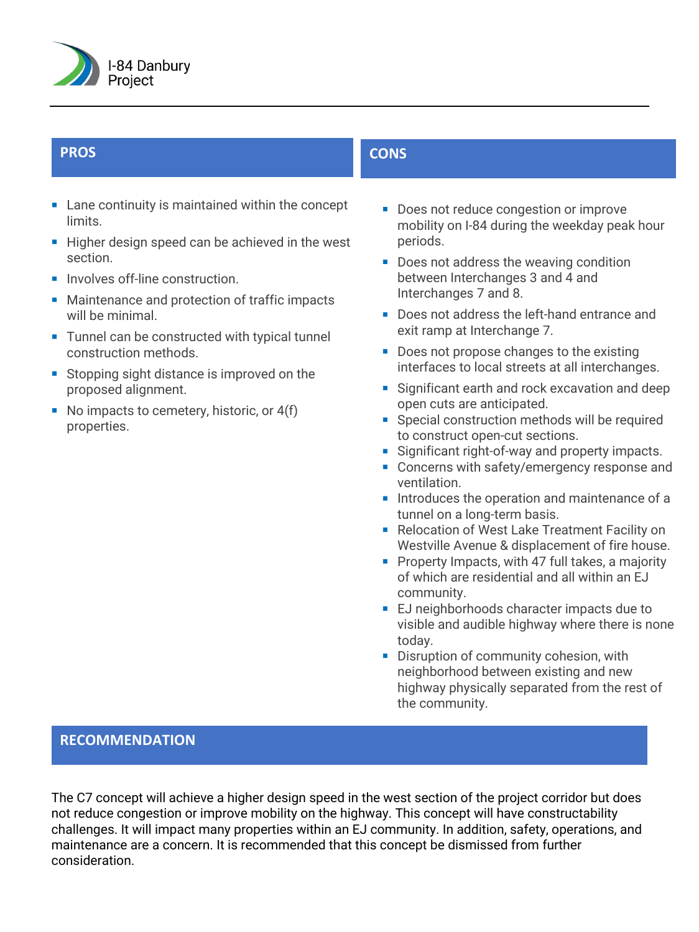

- **EXTERN** Lane continuity is maintained within the concept **limits**
- Higher design speed can be achieved in the west section.
- **Involves off-line construction.**
- **Maintenance and protection of traffic impacts** will be minimal.
- Tunnel can be constructed with typical tunnel construction methods.
- Stopping sight distance is improved on the proposed alignment.
- No impacts to cemetery, historic, or  $4(f)$ properties.

# **PROS CONS**

- Does not reduce congestion or improve mobility on I-84 during the weekday peak hour periods.
- Does not address the weaving condition between Interchanges 3 and 4 and Interchanges 7 and 8.
- Does not address the left-hand entrance and exit ramp at Interchange 7.
- Does not propose changes to the existing interfaces to local streets at all interchanges.
- Significant earth and rock excavation and deep open cuts are anticipated.
- Special construction methods will be required to construct open-cut sections.
- Significant right-of-way and property impacts.
- **Concerns with safety/emergency response and** ventilation.
- Introduces the operation and maintenance of a tunnel on a long-term basis.
- Relocation of West Lake Treatment Facility on Westville Avenue & displacement of fire house.
- **Property Impacts, with 47 full takes, a majority** of which are residential and all within an EJ community.
- **E** EJ neighborhoods character impacts due to visible and audible highway where there is none today.
- Disruption of community cohesion, with neighborhood between existing and new highway physically separated from the rest of the community.

### **RECOMMENDATION**

The C7 concept will achieve a higher design speed in the west section of the project corridor but does not reduce congestion or improve mobility on the highway. This concept will have constructability challenges. It will impact many properties within an EJ community. In addition, safety, operations, and maintenance are a concern. It is recommended that this concept be dismissed from further consideration.